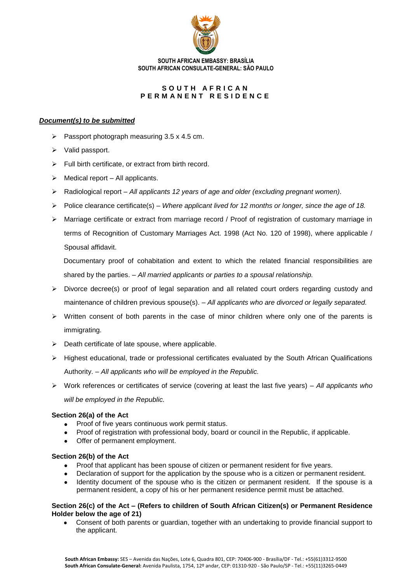

**SOUTH AFRICAN EMBASSY: BRASÍLIA SOUTH AFRICAN CONSULATE-GENERAL: SÃO PAULO**

# SOUTH AFRICAN **P E R M A N E N T R E S I D E N C E**

### *Document(s) to be submitted*

- $\geq$  Passport photograph measuring 3.5 x 4.5 cm.
- $\triangleright$  Valid passport.
- $\triangleright$  Full birth certificate, or extract from birth record.
- $\triangleright$  Medical report All applicants.
- Radiological report *All applicants 12 years of age and older (excluding pregnant women).*
- $\triangleright$  Police clearance certificate(s) *Where applicant lived for 12 months or longer, since the age of 18.*
- $\triangleright$  Marriage certificate or extract from marriage record / Proof of registration of customary marriage in terms of Recognition of Customary Marriages Act. 1998 (Act No. 120 of 1998), where applicable / Spousal affidavit.

Documentary proof of cohabitation and extent to which the related financial responsibilities are shared by the parties. – *All married applicants or parties to a spousal relationship.*

- $\triangleright$  Divorce decree(s) or proof of legal separation and all related court orders regarding custody and maintenance of children previous spouse(s). – *All applicants who are divorced or legally separated.*
- $\triangleright$  Written consent of both parents in the case of minor children where only one of the parents is immigrating.
- $\triangleright$  Death certificate of late spouse, where applicable.
- Highest educational, trade or professional certificates evaluated by the South African Qualifications Authority. – *All applicants who will be employed in the Republic.*
- Work references or certificates of service (covering at least the last five years) *All applicants who will be employed in the Republic.*

#### **Section 26(a) of the Act**

- Proof of five years continuous work permit status.  $\bullet$
- Proof of registration with professional body, board or council in the Republic, if applicable.
- Offer of permanent employment.

#### **Section 26(b) of the Act**

- Proof that applicant has been spouse of citizen or permanent resident for five years.
- Declaration of support for the application by the spouse who is a citizen or permanent resident.
- Identity document of the spouse who is the citizen or permanent resident. If the spouse is a permanent resident, a copy of his or her permanent residence permit must be attached.

#### **Section 26(c) of the Act – (Refers to children of South African Citizen(s) or Permanent Residence Holder below the age of 21)**

Consent of both parents or guardian, together with an undertaking to provide financial support to the applicant.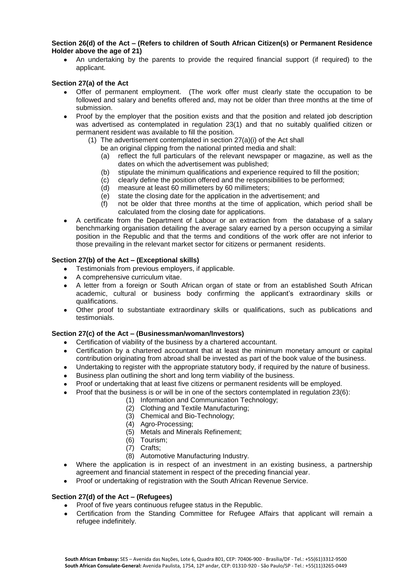### **Section 26(d) of the Act – (Refers to children of South African Citizen(s) or Permanent Residence Holder above the age of 21)**

An undertaking by the parents to provide the required financial support (if required) to the applicant.

# **Section 27(a) of the Act**

- Offer of permanent employment. (The work offer must clearly state the occupation to be followed and salary and benefits offered and, may not be older than three months at the time of submission.
- Proof by the employer that the position exists and that the position and related job description was advertised as contemplated in regulation 23(1) and that no suitably qualified citizen or permanent resident was available to fill the position.
	- (1) The advertisement contemplated in section 27(a)(i) of the Act shall
		- be an original clipping from the national printed media and shall:
			- (a) reflect the full particulars of the relevant newspaper or magazine, as well as the dates on which the advertisement was published;
		- (b) stipulate the minimum qualifications and experience required to fill the position;
		- (c) clearly define the position offered and the responsibilities to be performed;
		- (d) measure at least 60 millimeters by 60 millimeters;
		- (e) state the closing date for the application in the advertisement; and
		- (f) not be older that three months at the time of application, which period shall be calculated from the closing date for applications.
- A certificate from the Department of Labour or an extraction from the database of a salary  $\bullet$ benchmarking organisation detailing the average salary earned by a person occupying a similar position in the Republic and that the terms and conditions of the work offer are not inferior to those prevailing in the relevant market sector for citizens or permanent residents.

## **Section 27(b) of the Act – (Exceptional skills)**

- Testimonials from previous employers, if applicable.
- A comprehensive curriculum vitae.
- A letter from a foreign or South African organ of state or from an established South African academic, cultural or business body confirming the applicant's extraordinary skills or qualifications.
- Other proof to substantiate extraordinary skills or qualifications, such as publications and  $\bullet$ testimonials.

## **Section 27(c) of the Act – (Businessman/woman/Investors)**

- Certification of viability of the business by a chartered accountant.
- Certification by a chartered accountant that at least the minimum monetary amount or capital contribution originating from abroad shall be invested as part of the book value of the business.
- Undertaking to register with the appropriate statutory body, if required by the nature of business.
- Business plan outlining the short and long term viability of the business.
- Proof or undertaking that at least five citizens or permanent residents will be employed.
- Proof that the business is or will be in one of the sectors contemplated in regulation 23(6):
	- (1) Information and Communication Technology;
		- (2) Clothing and Textile Manufacturing;
		- (3) Chemical and Bio-Technology;
		- (4) Agro-Processing;
		- (5) Metals and Minerals Refinement;
		- (6) Tourism;
		- (7) Crafts;
		- (8) Automotive Manufacturing Industry.
- Where the application is in respect of an investment in an existing business, a partnership agreement and financial statement in respect of the preceding financial year.
- Proof or undertaking of registration with the South African Revenue Service.

## **Section 27(d) of the Act – (Refugees)**

- Proof of five years continuous refugee status in the Republic.
- Certification from the Standing Committee for Refugee Affairs that applicant will remain a  $\ddot{\phantom{a}}$ refugee indefinitely.